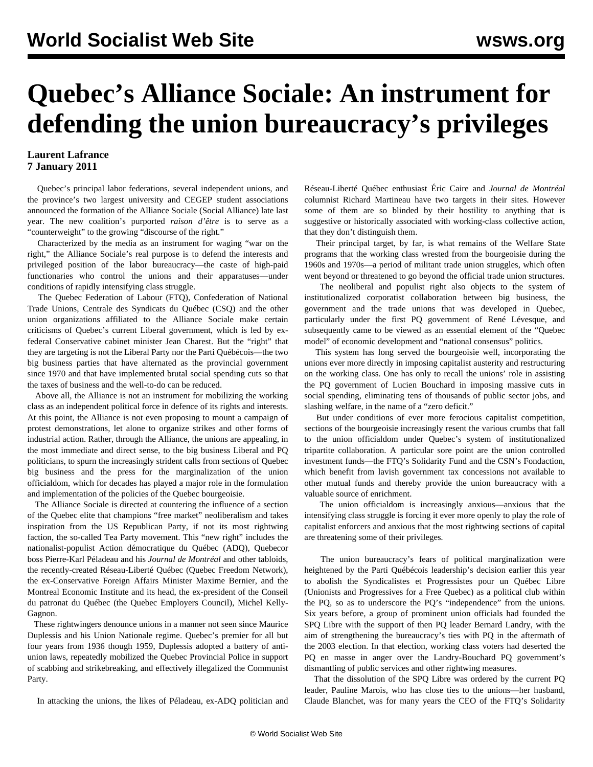## **Quebec's Alliance Sociale: An instrument for defending the union bureaucracy's privileges**

## **Laurent Lafrance 7 January 2011**

 Quebec's principal labor federations, several independent unions, and the province's two largest university and CEGEP student associations announced the formation of the Alliance Sociale (Social Alliance) late last year. The new coalition's purported *raison d'être* is to serve as a "counterweight" to the growing "discourse of the right."

 Characterized by the media as an instrument for waging "war on the right," the Alliance Sociale's real purpose is to defend the interests and privileged position of the labor bureaucracy—the caste of high-paid functionaries who control the unions and their apparatuses—under conditions of rapidly intensifying class struggle.

 The Quebec Federation of Labour (FTQ), Confederation of National Trade Unions, Centrale des Syndicats du Québec (CSQ) and the other union organizations affiliated to the Alliance Sociale make certain criticisms of Quebec's current Liberal government, which is led by exfederal Conservative cabinet minister Jean Charest. But the "right" that they are targeting is not the Liberal Party nor the Parti Québécois—the two big business parties that have alternated as the provincial government since 1970 and that have implemented brutal social spending cuts so that the taxes of business and the well-to-do can be reduced.

 Above all, the Alliance is not an instrument for mobilizing the working class as an independent political force in defence of its rights and interests. At this point, the Alliance is not even proposing to mount a campaign of protest demonstrations, let alone to organize strikes and other forms of industrial action. Rather, through the Alliance, the unions are appealing, in the most immediate and direct sense, to the big business Liberal and PQ politicians, to spurn the increasingly strident calls from sections of Quebec big business and the press for the marginalization of the union officialdom, which for decades has played a major role in the formulation and implementation of the policies of the Quebec bourgeoisie.

 The Alliance Sociale is directed at countering the influence of a section of the Quebec elite that champions "free market" neoliberalism and takes inspiration from the US Republican Party, if not its most rightwing faction, the so-called Tea Party movement. This "new right" includes the nationalist-populist Action démocratique du Québec (ADQ), Quebecor boss Pierre-Karl Péladeau and his *Journal de Montréal* and other tabloids, the recently-created Réseau-Liberté Québec (Quebec Freedom Network), the ex-Conservative Foreign Affairs Minister Maxime Bernier, and the Montreal Economic Institute and its head, the ex-president of the Conseil du patronat du Québec (the Quebec Employers Council), Michel Kelly-Gagnon.

 These rightwingers denounce unions in a manner not seen since Maurice Duplessis and his Union Nationale regime. Quebec's premier for all but four years from 1936 though 1959, Duplessis adopted a battery of antiunion laws, repeatedly mobilized the Quebec Provincial Police in support of scabbing and strikebreaking, and effectively illegalized the Communist Party.

In attacking the unions, the likes of Péladeau, ex-ADQ politician and

Réseau-Liberté Québec enthusiast Éric Caire and *Journal de Montréal* columnist Richard Martineau have two targets in their sites. However some of them are so blinded by their hostility to anything that is suggestive or historically associated with working-class collective action, that they don't distinguish them.

 Their principal target, by far, is what remains of the Welfare State programs that the working class wrested from the bourgeoisie during the 1960s and 1970s—a period of militant trade union struggles, which often went beyond or threatened to go beyond the official trade union structures.

 The neoliberal and populist right also objects to the system of institutionalized corporatist collaboration between big business, the government and the trade unions that was developed in Quebec, particularly under the first PQ government of René Lévesque, and subsequently came to be viewed as an essential element of the "Quebec model" of economic development and "national consensus" politics.

 This system has long served the bourgeoisie well, incorporating the unions ever more directly in imposing capitalist austerity and restructuring on the working class. One has only to recall the unions' role in assisting the PQ government of Lucien Bouchard in imposing massive cuts in social spending, eliminating tens of thousands of public sector jobs, and slashing welfare, in the name of a "zero deficit."

 But under conditions of ever more ferocious capitalist competition, sections of the bourgeoisie increasingly resent the various crumbs that fall to the union officialdom under Quebec's system of institutionalized tripartite collaboration. A particular sore point are the union controlled investment funds—the FTQ's Solidarity Fund and the CSN's Fondaction, which benefit from lavish government tax concessions not available to other mutual funds and thereby provide the union bureaucracy with a valuable source of enrichment.

 The union officialdom is increasingly anxious—anxious that the intensifying class struggle is forcing it ever more openly to play the role of capitalist enforcers and anxious that the most rightwing sections of capital are threatening some of their privileges*.* 

 The union bureaucracy's fears of political marginalization were heightened by the Parti Québécois leadership's decision earlier this year to abolish the Syndicalistes et Progressistes pour un Québec Libre (Unionists and Progressives for a Free Quebec) as a political club within the PQ, so as to underscore the PQ's "independence" from the unions. Six years before, a group of prominent union officials had founded the SPQ Libre with the support of then PQ leader Bernard Landry, with the aim of strengthening the bureaucracy's ties with PQ in the aftermath of the 2003 election. In that election, working class voters had deserted the PQ en masse in anger over the Landry-Bouchard PQ government's dismantling of public services and other rightwing measures.

 That the dissolution of the SPQ Libre was ordered by the current PQ leader, Pauline Marois, who has close ties to the unions—her husband, Claude Blanchet, was for many years the CEO of the FTQ's Solidarity